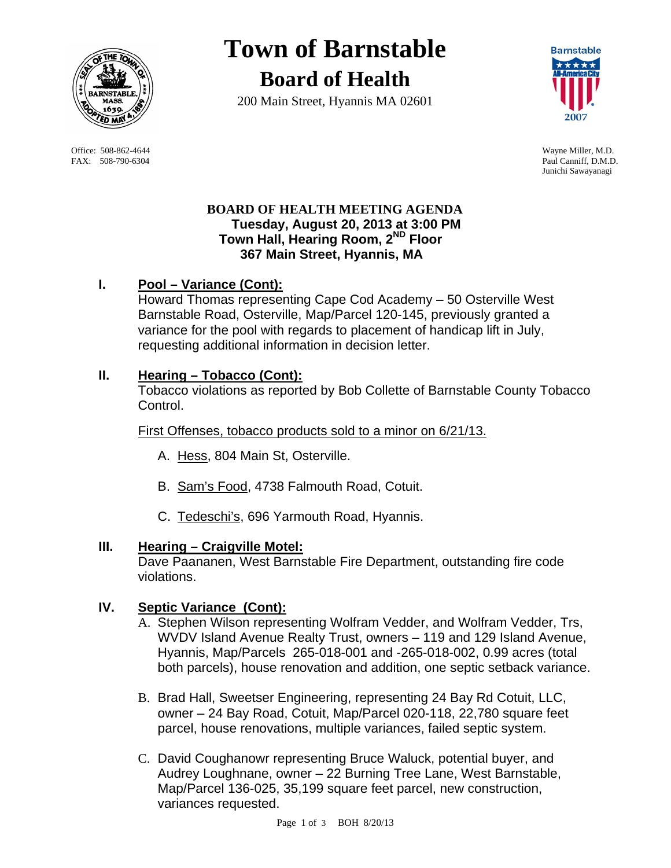

 Office: 508-862-4644 Wayne Miller, M.D. FAX: 508-790-6304 Paul Canniff, D.M.D.

# **Town of Barnstable Board of Health**

200 Main Street, Hyannis MA 02601



Junichi Sawayanagi

## **BOARD OF HEALTH MEETING AGENDA Tuesday, August 20, 2013 at 3:00 PM Town Hall, Hearing Room, 2ND Floor 367 Main Street, Hyannis, MA**

# **I. Pool – Variance (Cont):**

Howard Thomas representing Cape Cod Academy – 50 Osterville West Barnstable Road, Osterville, Map/Parcel 120-145, previously granted a variance for the pool with regards to placement of handicap lift in July, requesting additional information in decision letter.

## **II. Hearing – Tobacco (Cont):**

Tobacco violations as reported by Bob Collette of Barnstable County Tobacco Control.

First Offenses, tobacco products sold to a minor on 6/21/13.

- A. Hess, 804 Main St, Osterville.
- B. Sam's Food, 4738 Falmouth Road, Cotuit.
- C. Tedeschi's, 696 Yarmouth Road, Hyannis.

## **III. Hearing – Craigville Motel:**

Dave Paananen, West Barnstable Fire Department, outstanding fire code violations.

## **IV. Septic Variance (Cont):**

- A. Stephen Wilson representing Wolfram Vedder, and Wolfram Vedder, Trs, WVDV Island Avenue Realty Trust, owners – 119 and 129 Island Avenue, Hyannis, Map/Parcels 265-018-001 and -265-018-002, 0.99 acres (total both parcels), house renovation and addition, one septic setback variance.
- B. Brad Hall, Sweetser Engineering, representing 24 Bay Rd Cotuit, LLC, owner – 24 Bay Road, Cotuit, Map/Parcel 020-118, 22,780 square feet parcel, house renovations, multiple variances, failed septic system.
- C. David Coughanowr representing Bruce Waluck, potential buyer, and Audrey Loughnane, owner – 22 Burning Tree Lane, West Barnstable, Map/Parcel 136-025, 35,199 square feet parcel, new construction, variances requested.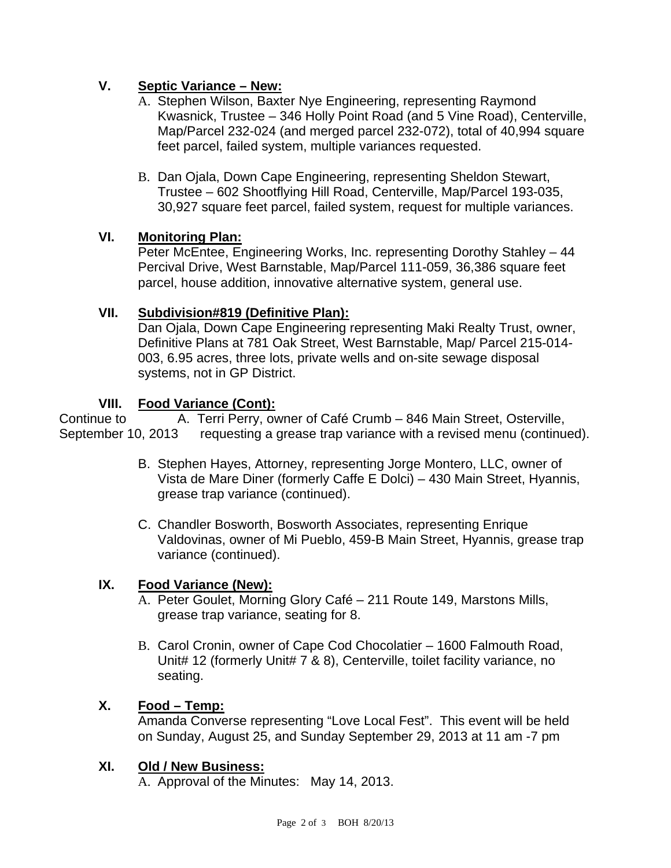## **V. Septic Variance – New:**

- A. Stephen Wilson, Baxter Nye Engineering, representing Raymond Kwasnick, Trustee – 346 Holly Point Road (and 5 Vine Road), Centerville, Map/Parcel 232-024 (and merged parcel 232-072), total of 40,994 square feet parcel, failed system, multiple variances requested.
- B. Dan Ojala, Down Cape Engineering, representing Sheldon Stewart, Trustee – 602 Shootflying Hill Road, Centerville, Map/Parcel 193-035, 30,927 square feet parcel, failed system, request for multiple variances.

## **VI. Monitoring Plan:**

Peter McEntee, Engineering Works, Inc. representing Dorothy Stahley – 44 Percival Drive, West Barnstable, Map/Parcel 111-059, 36,386 square feet parcel, house addition, innovative alternative system, general use.

#### **VII. Subdivision#819 (Definitive Plan):**

Dan Ojala, Down Cape Engineering representing Maki Realty Trust, owner, Definitive Plans at 781 Oak Street, West Barnstable, Map/ Parcel 215-014- 003, 6.95 acres, three lots, private wells and on-site sewage disposal systems, not in GP District.

#### **VIII. Food Variance (Cont):**

Continue to **A. Terri Perry, owner of Café Crumb** – 846 Main Street, Osterville, September 10, 2013 requesting a grease trap variance with a revised menu (continued).

- B. Stephen Hayes, Attorney, representing Jorge Montero, LLC, owner of Vista de Mare Diner (formerly Caffe E Dolci) – 430 Main Street, Hyannis, grease trap variance (continued).
- C. Chandler Bosworth, Bosworth Associates, representing Enrique Valdovinas, owner of Mi Pueblo, 459-B Main Street, Hyannis, grease trap variance (continued).

#### **IX. Food Variance (New):**

- A. Peter Goulet, Morning Glory Café 211 Route 149, Marstons Mills, grease trap variance, seating for 8.
- B. Carol Cronin, owner of Cape Cod Chocolatier 1600 Falmouth Road, Unit# 12 (formerly Unit# 7 & 8), Centerville, toilet facility variance, no seating.

## **X. Food – Temp:**

Amanda Converse representing "Love Local Fest". This event will be held on Sunday, August 25, and Sunday September 29, 2013 at 11 am -7 pm

#### **XI. Old / New Business:**

A. Approval of the Minutes: May 14, 2013.